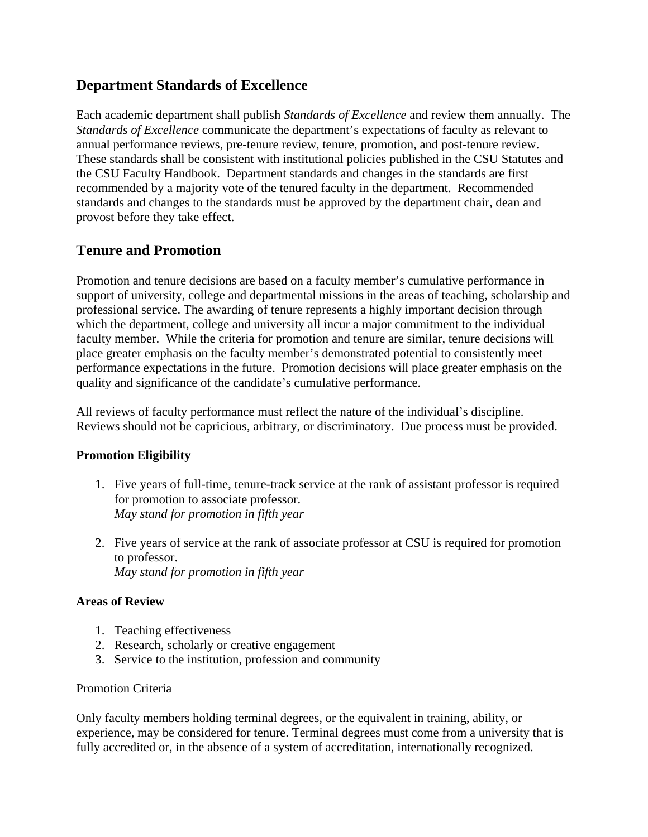# **Department Standards of Excellence**

Each academic department shall publish *Standards of Excellence* and review them annually. The *Standards of Excellence* communicate the department's expectations of faculty as relevant to annual performance reviews, pre-tenure review, tenure, promotion, and post-tenure review. These standards shall be consistent with institutional policies published in the CSU Statutes and the CSU Faculty Handbook. Department standards and changes in the standards are first recommended by a majority vote of the tenured faculty in the department. Recommended standards and changes to the standards must be approved by the department chair, dean and provost before they take effect.

# **Tenure and Promotion**

Promotion and tenure decisions are based on a faculty member's cumulative performance in support of university, college and departmental missions in the areas of teaching, scholarship and professional service. The awarding of tenure represents a highly important decision through which the department, college and university all incur a major commitment to the individual faculty member. While the criteria for promotion and tenure are similar, tenure decisions will place greater emphasis on the faculty member's demonstrated potential to consistently meet performance expectations in the future. Promotion decisions will place greater emphasis on the quality and significance of the candidate's cumulative performance.

All reviews of faculty performance must reflect the nature of the individual's discipline. Reviews should not be capricious, arbitrary, or discriminatory. Due process must be provided.

## **Promotion Eligibility**

- 1. Five years of full-time, tenure-track service at the rank of assistant professor is required for promotion to associate professor. *May stand for promotion in fifth year*
- 2. Five years of service at the rank of associate professor at CSU is required for promotion to professor. *May stand for promotion in fifth year*

### **Areas of Review**

- 1. Teaching effectiveness
- 2. Research, scholarly or creative engagement
- 3. Service to the institution, profession and community

### Promotion Criteria

Only faculty members holding terminal degrees, or the equivalent in training, ability, or experience, may be considered for tenure. Terminal degrees must come from a university that is fully accredited or, in the absence of a system of accreditation, internationally recognized.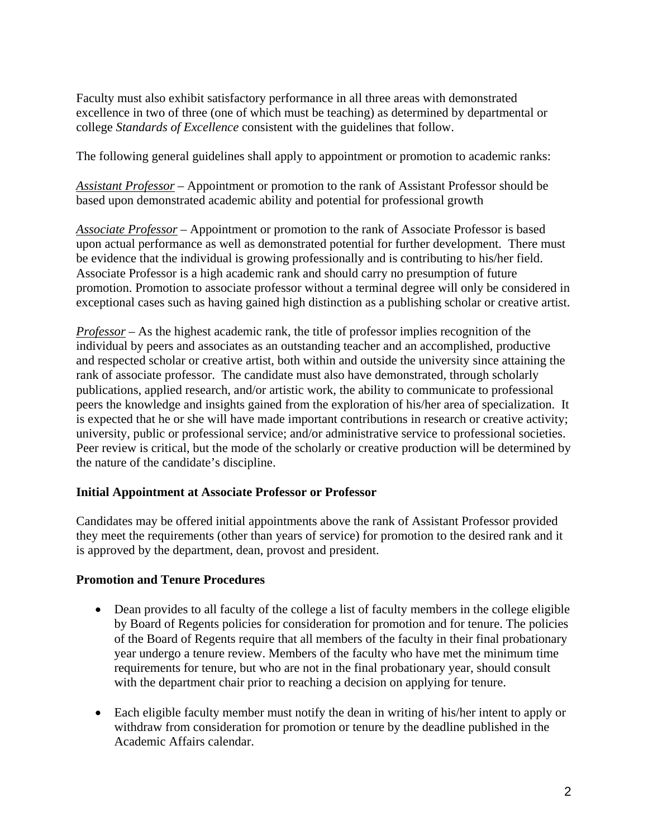Faculty must also exhibit satisfactory performance in all three areas with demonstrated excellence in two of three (one of which must be teaching) as determined by departmental or college *Standards of Excellence* consistent with the guidelines that follow.

The following general guidelines shall apply to appointment or promotion to academic ranks:

*Assistant Professor* – Appointment or promotion to the rank of Assistant Professor should be based upon demonstrated academic ability and potential for professional growth

*Associate Professor* – Appointment or promotion to the rank of Associate Professor is based upon actual performance as well as demonstrated potential for further development. There must be evidence that the individual is growing professionally and is contributing to his/her field. Associate Professor is a high academic rank and should carry no presumption of future promotion. Promotion to associate professor without a terminal degree will only be considered in exceptional cases such as having gained high distinction as a publishing scholar or creative artist.

*Professor* – As the highest academic rank, the title of professor implies recognition of the individual by peers and associates as an outstanding teacher and an accomplished, productive and respected scholar or creative artist, both within and outside the university since attaining the rank of associate professor. The candidate must also have demonstrated, through scholarly publications, applied research, and/or artistic work, the ability to communicate to professional peers the knowledge and insights gained from the exploration of his/her area of specialization. It is expected that he or she will have made important contributions in research or creative activity; university, public or professional service; and/or administrative service to professional societies. Peer review is critical, but the mode of the scholarly or creative production will be determined by the nature of the candidate's discipline.

#### **Initial Appointment at Associate Professor or Professor**

Candidates may be offered initial appointments above the rank of Assistant Professor provided they meet the requirements (other than years of service) for promotion to the desired rank and it is approved by the department, dean, provost and president.

### **Promotion and Tenure Procedures**

- Dean provides to all faculty of the college a list of faculty members in the college eligible by Board of Regents policies for consideration for promotion and for tenure. The policies of the Board of Regents require that all members of the faculty in their final probationary year undergo a tenure review. Members of the faculty who have met the minimum time requirements for tenure, but who are not in the final probationary year, should consult with the department chair prior to reaching a decision on applying for tenure.
- Each eligible faculty member must notify the dean in writing of his/her intent to apply or withdraw from consideration for promotion or tenure by the deadline published in the Academic Affairs calendar.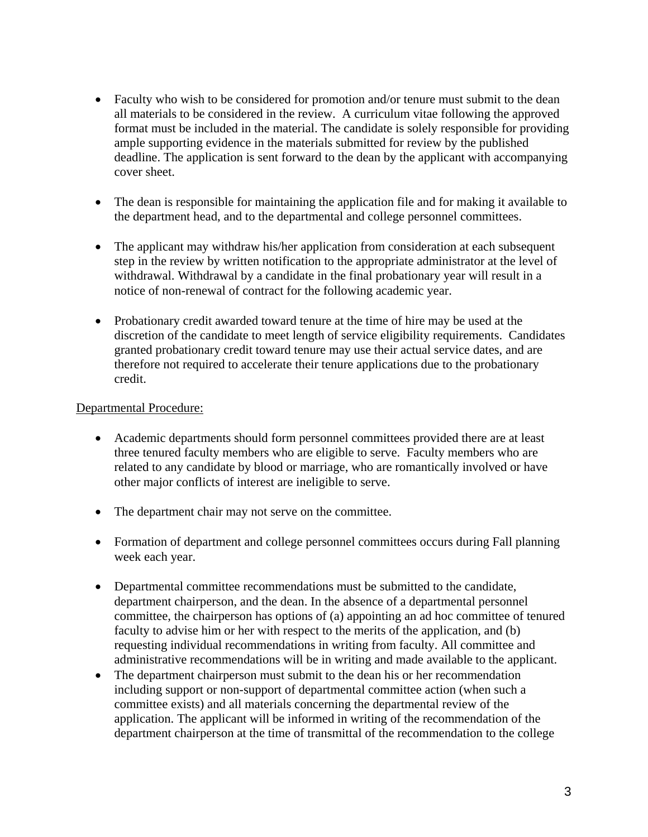- Faculty who wish to be considered for promotion and/or tenure must submit to the dean all materials to be considered in the review. A curriculum vitae following the approved format must be included in the material. The candidate is solely responsible for providing ample supporting evidence in the materials submitted for review by the published deadline. The application is sent forward to the dean by the applicant with accompanying cover sheet.
- The dean is responsible for maintaining the application file and for making it available to the department head, and to the departmental and college personnel committees.
- The applicant may withdraw his/her application from consideration at each subsequent step in the review by written notification to the appropriate administrator at the level of withdrawal. Withdrawal by a candidate in the final probationary year will result in a notice of non-renewal of contract for the following academic year.
- Probationary credit awarded toward tenure at the time of hire may be used at the discretion of the candidate to meet length of service eligibility requirements. Candidates granted probationary credit toward tenure may use their actual service dates, and are therefore not required to accelerate their tenure applications due to the probationary credit.

#### Departmental Procedure:

- Academic departments should form personnel committees provided there are at least three tenured faculty members who are eligible to serve. Faculty members who are related to any candidate by blood or marriage, who are romantically involved or have other major conflicts of interest are ineligible to serve.
- The department chair may not serve on the committee.
- Formation of department and college personnel committees occurs during Fall planning week each year.
- Departmental committee recommendations must be submitted to the candidate, department chairperson, and the dean. In the absence of a departmental personnel committee, the chairperson has options of (a) appointing an ad hoc committee of tenured faculty to advise him or her with respect to the merits of the application, and (b) requesting individual recommendations in writing from faculty. All committee and administrative recommendations will be in writing and made available to the applicant.
- The department chairperson must submit to the dean his or her recommendation including support or non-support of departmental committee action (when such a committee exists) and all materials concerning the departmental review of the application. The applicant will be informed in writing of the recommendation of the department chairperson at the time of transmittal of the recommendation to the college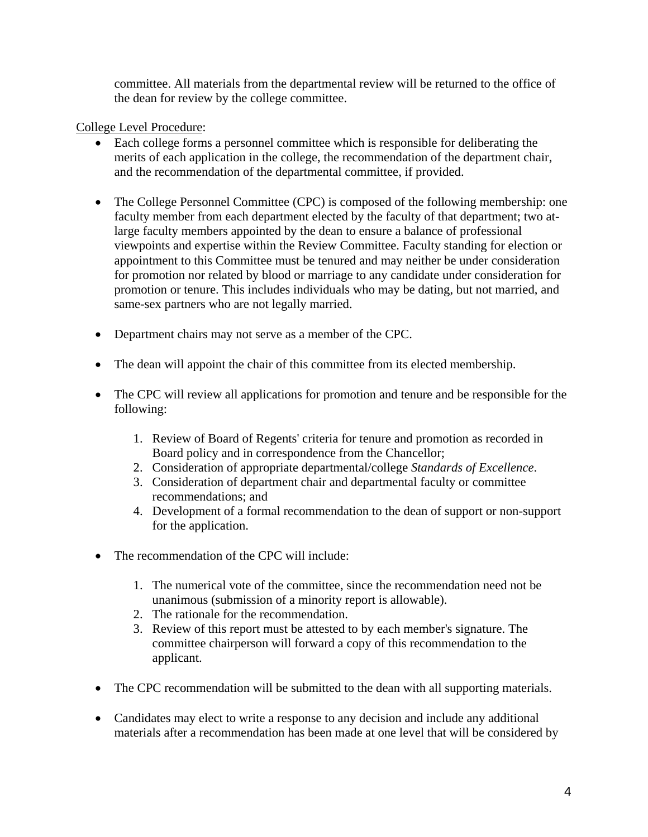committee. All materials from the departmental review will be returned to the office of the dean for review by the college committee.

### College Level Procedure:

- Each college forms a personnel committee which is responsible for deliberating the merits of each application in the college, the recommendation of the department chair, and the recommendation of the departmental committee, if provided.
- The College Personnel Committee (CPC) is composed of the following membership: one faculty member from each department elected by the faculty of that department; two atlarge faculty members appointed by the dean to ensure a balance of professional viewpoints and expertise within the Review Committee. Faculty standing for election or appointment to this Committee must be tenured and may neither be under consideration for promotion nor related by blood or marriage to any candidate under consideration for promotion or tenure. This includes individuals who may be dating, but not married, and same-sex partners who are not legally married.
- Department chairs may not serve as a member of the CPC.
- The dean will appoint the chair of this committee from its elected membership.
- The CPC will review all applications for promotion and tenure and be responsible for the following:
	- 1. Review of Board of Regents' criteria for tenure and promotion as recorded in Board policy and in correspondence from the Chancellor;
	- 2. Consideration of appropriate departmental/college *Standards of Excellence*.
	- 3. Consideration of department chair and departmental faculty or committee recommendations; and
	- 4. Development of a formal recommendation to the dean of support or non-support for the application.
- The recommendation of the CPC will include:
	- 1. The numerical vote of the committee, since the recommendation need not be unanimous (submission of a minority report is allowable).
	- 2. The rationale for the recommendation.
	- 3. Review of this report must be attested to by each member's signature. The committee chairperson will forward a copy of this recommendation to the applicant.
- The CPC recommendation will be submitted to the dean with all supporting materials.
- Candidates may elect to write a response to any decision and include any additional materials after a recommendation has been made at one level that will be considered by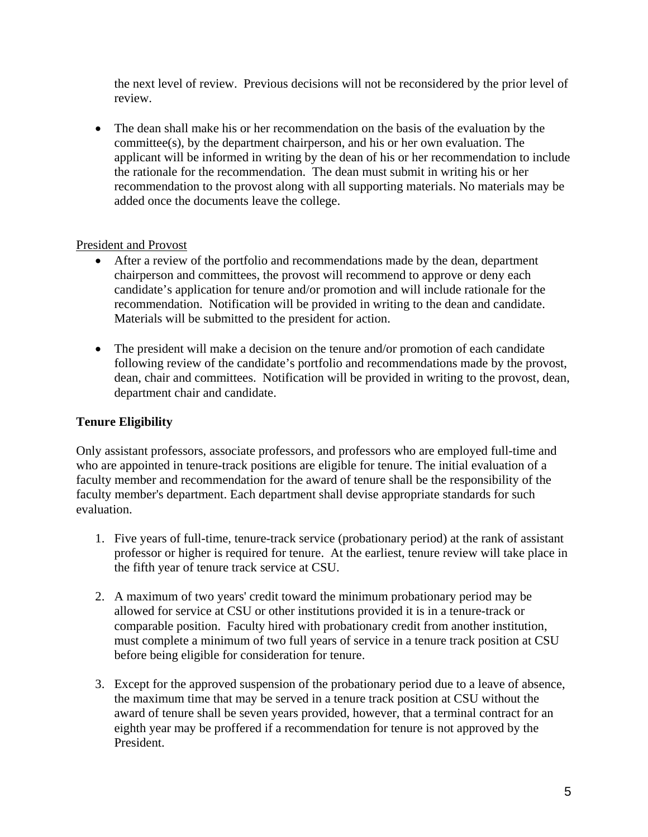the next level of review. Previous decisions will not be reconsidered by the prior level of review.

• The dean shall make his or her recommendation on the basis of the evaluation by the committee(s), by the department chairperson, and his or her own evaluation. The applicant will be informed in writing by the dean of his or her recommendation to include the rationale for the recommendation. The dean must submit in writing his or her recommendation to the provost along with all supporting materials. No materials may be added once the documents leave the college.

### President and Provost

- After a review of the portfolio and recommendations made by the dean, department chairperson and committees, the provost will recommend to approve or deny each candidate's application for tenure and/or promotion and will include rationale for the recommendation. Notification will be provided in writing to the dean and candidate. Materials will be submitted to the president for action.
- The president will make a decision on the tenure and/or promotion of each candidate following review of the candidate's portfolio and recommendations made by the provost, dean, chair and committees. Notification will be provided in writing to the provost, dean, department chair and candidate.

## **Tenure Eligibility**

Only assistant professors, associate professors, and professors who are employed full-time and who are appointed in tenure-track positions are eligible for tenure. The initial evaluation of a faculty member and recommendation for the award of tenure shall be the responsibility of the faculty member's department. Each department shall devise appropriate standards for such evaluation.

- 1. Five years of full-time, tenure-track service (probationary period) at the rank of assistant professor or higher is required for tenure. At the earliest, tenure review will take place in the fifth year of tenure track service at CSU.
- 2. A maximum of two years' credit toward the minimum probationary period may be allowed for service at CSU or other institutions provided it is in a tenure-track or comparable position. Faculty hired with probationary credit from another institution, must complete a minimum of two full years of service in a tenure track position at CSU before being eligible for consideration for tenure.
- 3. Except for the approved suspension of the probationary period due to a leave of absence, the maximum time that may be served in a tenure track position at CSU without the award of tenure shall be seven years provided, however, that a terminal contract for an eighth year may be proffered if a recommendation for tenure is not approved by the President.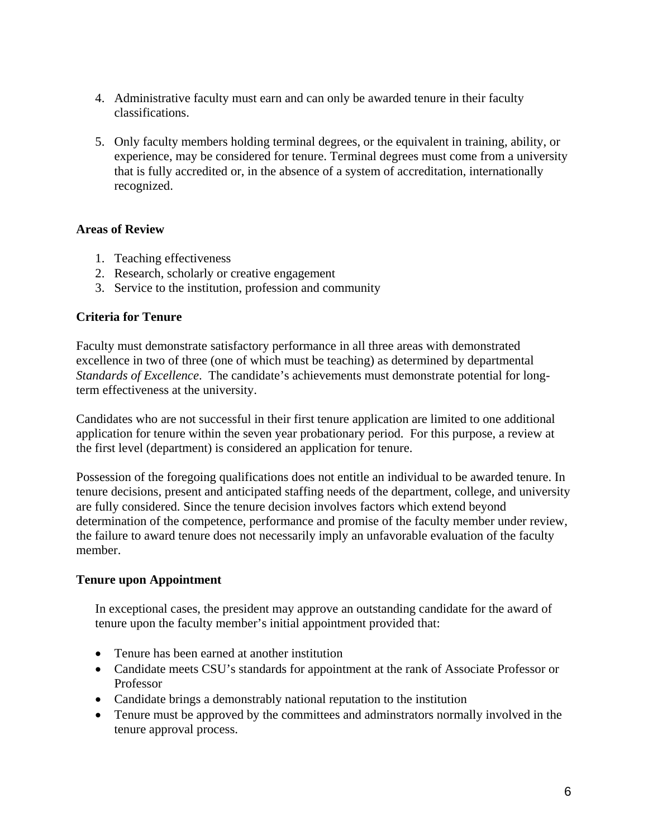- 4. Administrative faculty must earn and can only be awarded tenure in their faculty classifications.
- 5. Only faculty members holding terminal degrees, or the equivalent in training, ability, or experience, may be considered for tenure. Terminal degrees must come from a university that is fully accredited or, in the absence of a system of accreditation, internationally recognized.

#### **Areas of Review**

- 1. Teaching effectiveness
- 2. Research, scholarly or creative engagement
- 3. Service to the institution, profession and community

#### **Criteria for Tenure**

Faculty must demonstrate satisfactory performance in all three areas with demonstrated excellence in two of three (one of which must be teaching) as determined by departmental *Standards of Excellence*. The candidate's achievements must demonstrate potential for longterm effectiveness at the university.

Candidates who are not successful in their first tenure application are limited to one additional application for tenure within the seven year probationary period. For this purpose, a review at the first level (department) is considered an application for tenure.

Possession of the foregoing qualifications does not entitle an individual to be awarded tenure. In tenure decisions, present and anticipated staffing needs of the department, college, and university are fully considered. Since the tenure decision involves factors which extend beyond determination of the competence, performance and promise of the faculty member under review, the failure to award tenure does not necessarily imply an unfavorable evaluation of the faculty member.

#### **Tenure upon Appointment**

In exceptional cases, the president may approve an outstanding candidate for the award of tenure upon the faculty member's initial appointment provided that:

- Tenure has been earned at another institution
- Candidate meets CSU's standards for appointment at the rank of Associate Professor or Professor
- Candidate brings a demonstrably national reputation to the institution
- Tenure must be approved by the committees and adminiteators normally involved in the tenure approval process.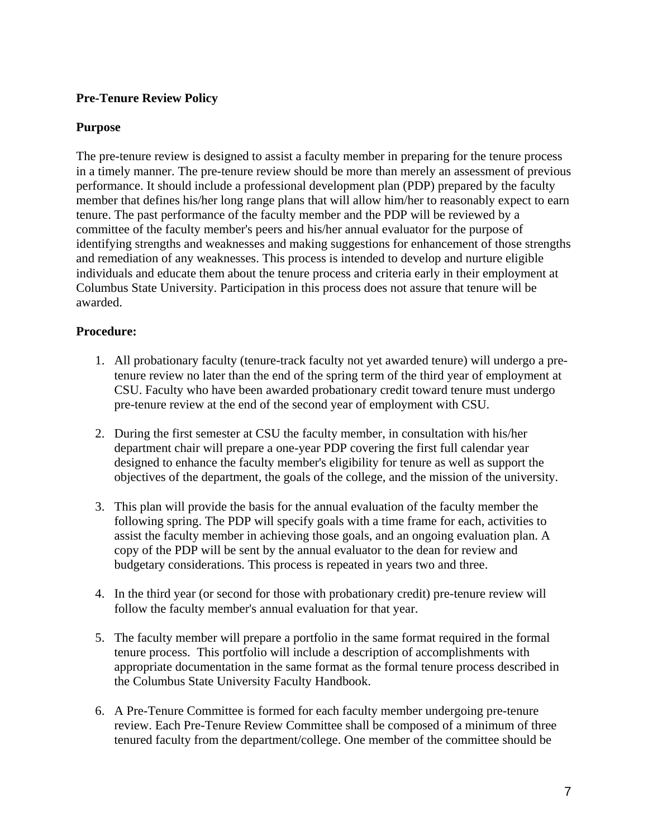### **Pre-Tenure Review Policy**

### **Purpose**

The pre-tenure review is designed to assist a faculty member in preparing for the tenure process in a timely manner. The pre-tenure review should be more than merely an assessment of previous performance. It should include a professional development plan (PDP) prepared by the faculty member that defines his/her long range plans that will allow him/her to reasonably expect to earn tenure. The past performance of the faculty member and the PDP will be reviewed by a committee of the faculty member's peers and his/her annual evaluator for the purpose of identifying strengths and weaknesses and making suggestions for enhancement of those strengths and remediation of any weaknesses. This process is intended to develop and nurture eligible individuals and educate them about the tenure process and criteria early in their employment at Columbus State University. Participation in this process does not assure that tenure will be awarded.

### **Procedure:**

- 1. All probationary faculty (tenure-track faculty not yet awarded tenure) will undergo a pretenure review no later than the end of the spring term of the third year of employment at CSU. Faculty who have been awarded probationary credit toward tenure must undergo pre-tenure review at the end of the second year of employment with CSU.
- 2. During the first semester at CSU the faculty member, in consultation with his/her department chair will prepare a one-year PDP covering the first full calendar year designed to enhance the faculty member's eligibility for tenure as well as support the objectives of the department, the goals of the college, and the mission of the university.
- 3. This plan will provide the basis for the annual evaluation of the faculty member the following spring. The PDP will specify goals with a time frame for each, activities to assist the faculty member in achieving those goals, and an ongoing evaluation plan. A copy of the PDP will be sent by the annual evaluator to the dean for review and budgetary considerations. This process is repeated in years two and three.
- 4. In the third year (or second for those with probationary credit) pre-tenure review will follow the faculty member's annual evaluation for that year.
- 5. The faculty member will prepare a portfolio in the same format required in the formal tenure process. This portfolio will include a description of accomplishments with appropriate documentation in the same format as the formal tenure process described in the Columbus State University Faculty Handbook.
- 6. A Pre-Tenure Committee is formed for each faculty member undergoing pre-tenure review. Each Pre-Tenure Review Committee shall be composed of a minimum of three tenured faculty from the department/college. One member of the committee should be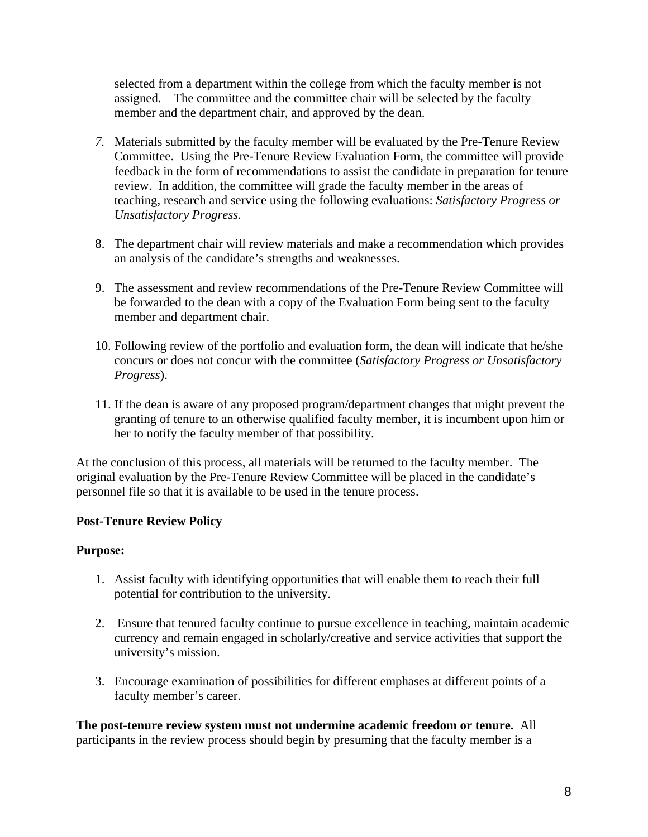selected from a department within the college from which the faculty member is not assigned. The committee and the committee chair will be selected by the faculty member and the department chair, and approved by the dean.

- *7.* Materials submitted by the faculty member will be evaluated by the Pre-Tenure Review Committee. Using the Pre-Tenure Review Evaluation Form, the committee will provide feedback in the form of recommendations to assist the candidate in preparation for tenure review. In addition, the committee will grade the faculty member in the areas of teaching, research and service using the following evaluations: *Satisfactory Progress or Unsatisfactory Progress.*
- 8. The department chair will review materials and make a recommendation which provides an analysis of the candidate's strengths and weaknesses.
- 9. The assessment and review recommendations of the Pre-Tenure Review Committee will be forwarded to the dean with a copy of the Evaluation Form being sent to the faculty member and department chair.
- 10. Following review of the portfolio and evaluation form, the dean will indicate that he/she concurs or does not concur with the committee (*Satisfactory Progress or Unsatisfactory Progress*).
- 11. If the dean is aware of any proposed program/department changes that might prevent the granting of tenure to an otherwise qualified faculty member, it is incumbent upon him or her to notify the faculty member of that possibility.

At the conclusion of this process, all materials will be returned to the faculty member. The original evaluation by the Pre-Tenure Review Committee will be placed in the candidate's personnel file so that it is available to be used in the tenure process.

## **Post-Tenure Review Policy**

### **Purpose:**

- 1. Assist faculty with identifying opportunities that will enable them to reach their full potential for contribution to the university.
- 2. Ensure that tenured faculty continue to pursue excellence in teaching, maintain academic currency and remain engaged in scholarly/creative and service activities that support the university's mission.
- 3. Encourage examination of possibilities for different emphases at different points of a faculty member's career.

**The post-tenure review system must not undermine academic freedom or tenure.** All participants in the review process should begin by presuming that the faculty member is a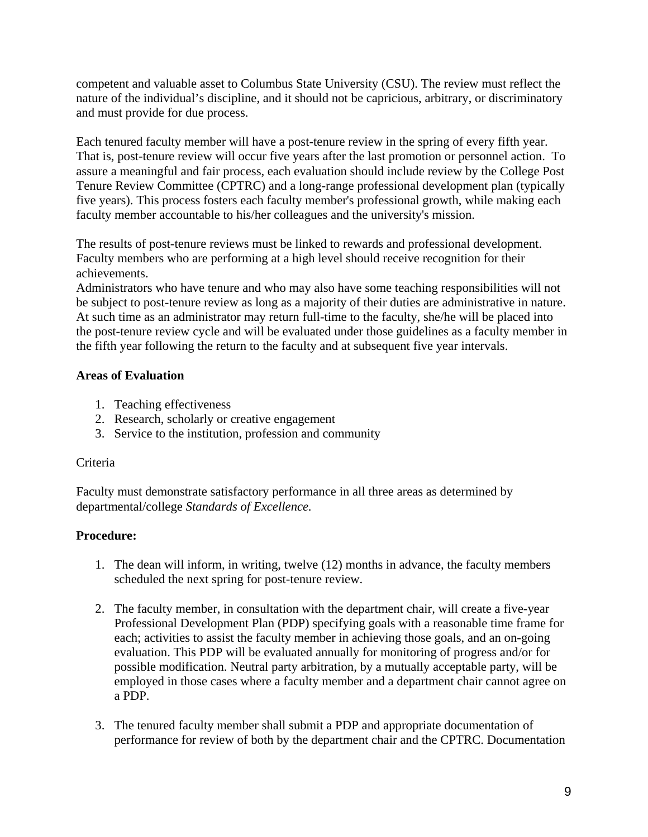competent and valuable asset to Columbus State University (CSU). The review must reflect the nature of the individual's discipline, and it should not be capricious, arbitrary, or discriminatory and must provide for due process.

Each tenured faculty member will have a post-tenure review in the spring of every fifth year. That is, post-tenure review will occur five years after the last promotion or personnel action. To assure a meaningful and fair process, each evaluation should include review by the College Post Tenure Review Committee (CPTRC) and a long-range professional development plan (typically five years). This process fosters each faculty member's professional growth, while making each faculty member accountable to his/her colleagues and the university's mission.

The results of post-tenure reviews must be linked to rewards and professional development. Faculty members who are performing at a high level should receive recognition for their achievements.

Administrators who have tenure and who may also have some teaching responsibilities will not be subject to post-tenure review as long as a majority of their duties are administrative in nature. At such time as an administrator may return full-time to the faculty, she/he will be placed into the post-tenure review cycle and will be evaluated under those guidelines as a faculty member in the fifth year following the return to the faculty and at subsequent five year intervals.

### **Areas of Evaluation**

- 1. Teaching effectiveness
- 2. Research, scholarly or creative engagement
- 3. Service to the institution, profession and community

### Criteria

Faculty must demonstrate satisfactory performance in all three areas as determined by departmental/college *Standards of Excellence.* 

## **Procedure:**

- 1. The dean will inform, in writing, twelve (12) months in advance, the faculty members scheduled the next spring for post-tenure review.
- 2. The faculty member, in consultation with the department chair, will create a five-year Professional Development Plan (PDP) specifying goals with a reasonable time frame for each; activities to assist the faculty member in achieving those goals, and an on-going evaluation. This PDP will be evaluated annually for monitoring of progress and/or for possible modification. Neutral party arbitration, by a mutually acceptable party, will be employed in those cases where a faculty member and a department chair cannot agree on a PDP.
- 3. The tenured faculty member shall submit a PDP and appropriate documentation of performance for review of both by the department chair and the CPTRC. Documentation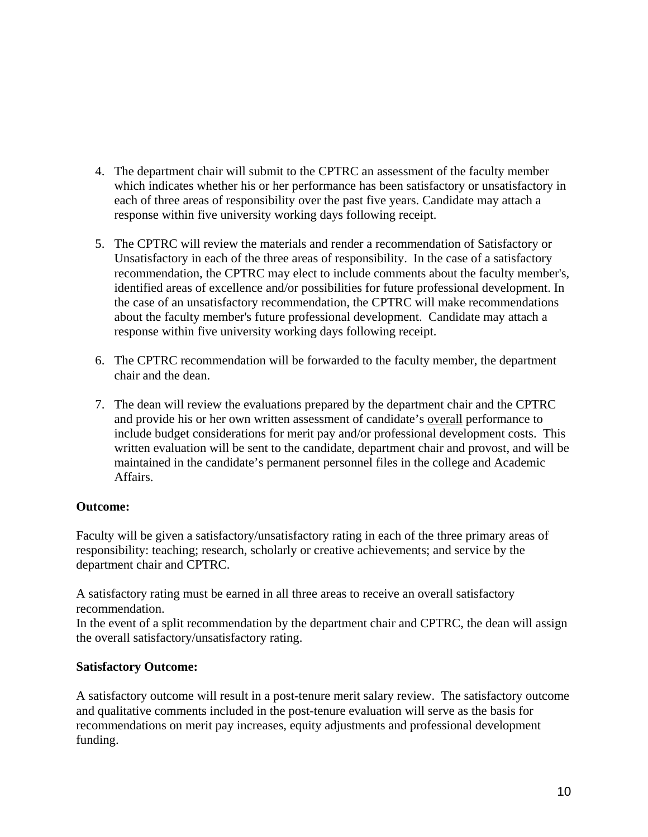- 4. The department chair will submit to the CPTRC an assessment of the faculty member which indicates whether his or her performance has been satisfactory or unsatisfactory in each of three areas of responsibility over the past five years. Candidate may attach a response within five university working days following receipt.
- 5. The CPTRC will review the materials and render a recommendation of Satisfactory or Unsatisfactory in each of the three areas of responsibility. In the case of a satisfactory recommendation, the CPTRC may elect to include comments about the faculty member's, identified areas of excellence and/or possibilities for future professional development. In the case of an unsatisfactory recommendation, the CPTRC will make recommendations about the faculty member's future professional development. Candidate may attach a response within five university working days following receipt.
- 6. The CPTRC recommendation will be forwarded to the faculty member, the department chair and the dean.
- 7. The dean will review the evaluations prepared by the department chair and the CPTRC and provide his or her own written assessment of candidate's overall performance to include budget considerations for merit pay and/or professional development costs. This written evaluation will be sent to the candidate, department chair and provost, and will be maintained in the candidate's permanent personnel files in the college and Academic Affairs.

### **Outcome:**

Faculty will be given a satisfactory/unsatisfactory rating in each of the three primary areas of responsibility: teaching; research, scholarly or creative achievements; and service by the department chair and CPTRC.

A satisfactory rating must be earned in all three areas to receive an overall satisfactory recommendation.

In the event of a split recommendation by the department chair and CPTRC, the dean will assign the overall satisfactory/unsatisfactory rating.

### **Satisfactory Outcome:**

A satisfactory outcome will result in a post-tenure merit salary review. The satisfactory outcome and qualitative comments included in the post-tenure evaluation will serve as the basis for recommendations on merit pay increases, equity adjustments and professional development funding.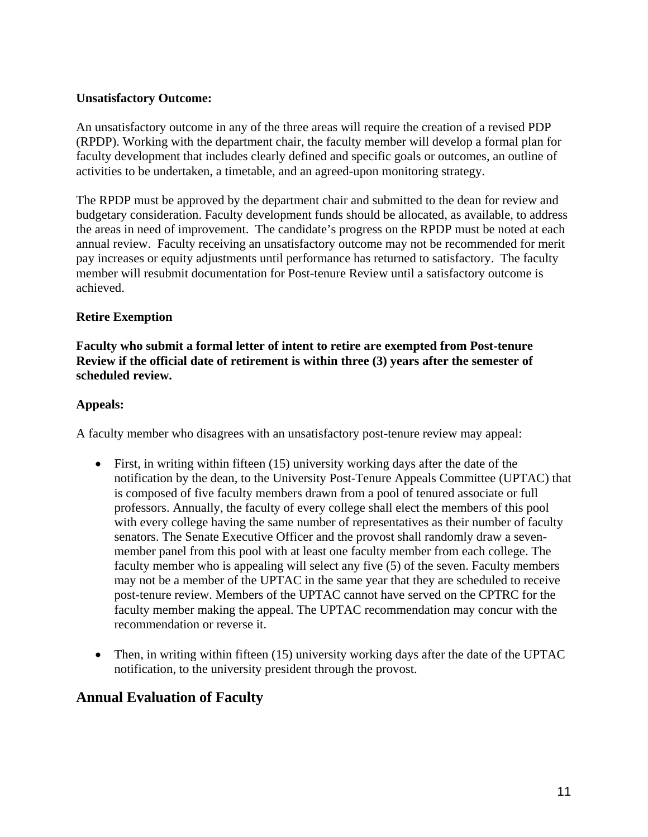#### **Unsatisfactory Outcome:**

An unsatisfactory outcome in any of the three areas will require the creation of a revised PDP (RPDP). Working with the department chair, the faculty member will develop a formal plan for faculty development that includes clearly defined and specific goals or outcomes, an outline of activities to be undertaken, a timetable, and an agreed-upon monitoring strategy.

The RPDP must be approved by the department chair and submitted to the dean for review and budgetary consideration. Faculty development funds should be allocated, as available, to address the areas in need of improvement. The candidate's progress on the RPDP must be noted at each annual review. Faculty receiving an unsatisfactory outcome may not be recommended for merit pay increases or equity adjustments until performance has returned to satisfactory. The faculty member will resubmit documentation for Post-tenure Review until a satisfactory outcome is achieved.

#### **Retire Exemption**

**Faculty who submit a formal letter of intent to retire are exempted from Post-tenure Review if the official date of retirement is within three (3) years after the semester of scheduled review.** 

#### **Appeals:**

A faculty member who disagrees with an unsatisfactory post-tenure review may appeal:

- First, in writing within fifteen (15) university working days after the date of the notification by the dean, to the University Post-Tenure Appeals Committee (UPTAC) that is composed of five faculty members drawn from a pool of tenured associate or full professors. Annually, the faculty of every college shall elect the members of this pool with every college having the same number of representatives as their number of faculty senators. The Senate Executive Officer and the provost shall randomly draw a sevenmember panel from this pool with at least one faculty member from each college. The faculty member who is appealing will select any five (5) of the seven. Faculty members may not be a member of the UPTAC in the same year that they are scheduled to receive post-tenure review. Members of the UPTAC cannot have served on the CPTRC for the faculty member making the appeal. The UPTAC recommendation may concur with the recommendation or reverse it.
- Then, in writing within fifteen (15) university working days after the date of the UPTAC notification, to the university president through the provost.

## **Annual Evaluation of Faculty**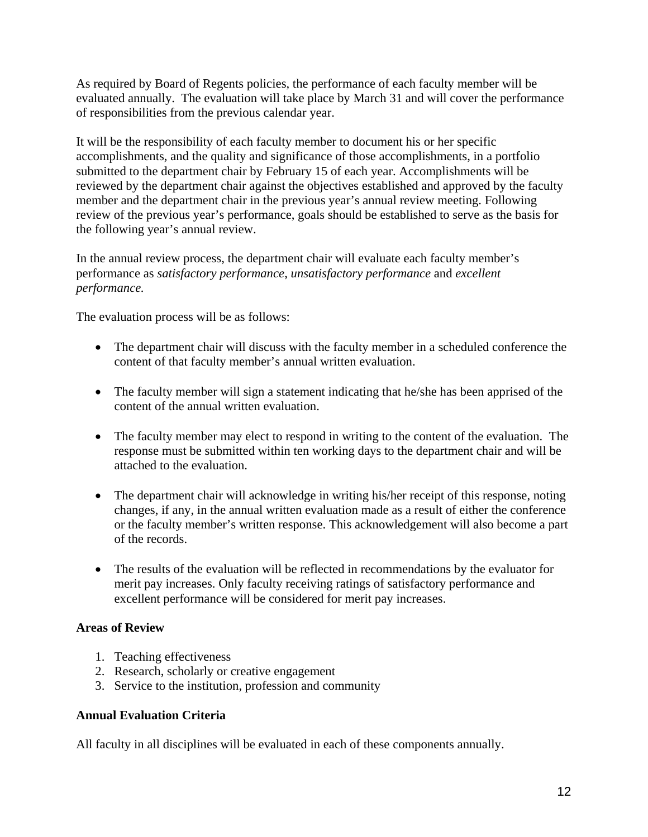As required by Board of Regents policies, the performance of each faculty member will be evaluated annually. The evaluation will take place by March 31 and will cover the performance of responsibilities from the previous calendar year.

It will be the responsibility of each faculty member to document his or her specific accomplishments, and the quality and significance of those accomplishments, in a portfolio submitted to the department chair by February 15 of each year. Accomplishments will be reviewed by the department chair against the objectives established and approved by the faculty member and the department chair in the previous year's annual review meeting. Following review of the previous year's performance, goals should be established to serve as the basis for the following year's annual review.

In the annual review process, the department chair will evaluate each faculty member's performance as *satisfactory performance*, *unsatisfactory performance* and *excellent performance.*

The evaluation process will be as follows:

- The department chair will discuss with the faculty member in a scheduled conference the content of that faculty member's annual written evaluation.
- The faculty member will sign a statement indicating that he/she has been apprised of the content of the annual written evaluation.
- The faculty member may elect to respond in writing to the content of the evaluation. The response must be submitted within ten working days to the department chair and will be attached to the evaluation.
- The department chair will acknowledge in writing his/her receipt of this response, noting changes, if any, in the annual written evaluation made as a result of either the conference or the faculty member's written response. This acknowledgement will also become a part of the records.
- The results of the evaluation will be reflected in recommendations by the evaluator for merit pay increases. Only faculty receiving ratings of satisfactory performance and excellent performance will be considered for merit pay increases.

### **Areas of Review**

- 1. Teaching effectiveness
- 2. Research, scholarly or creative engagement
- 3. Service to the institution, profession and community

#### **Annual Evaluation Criteria**

All faculty in all disciplines will be evaluated in each of these components annually.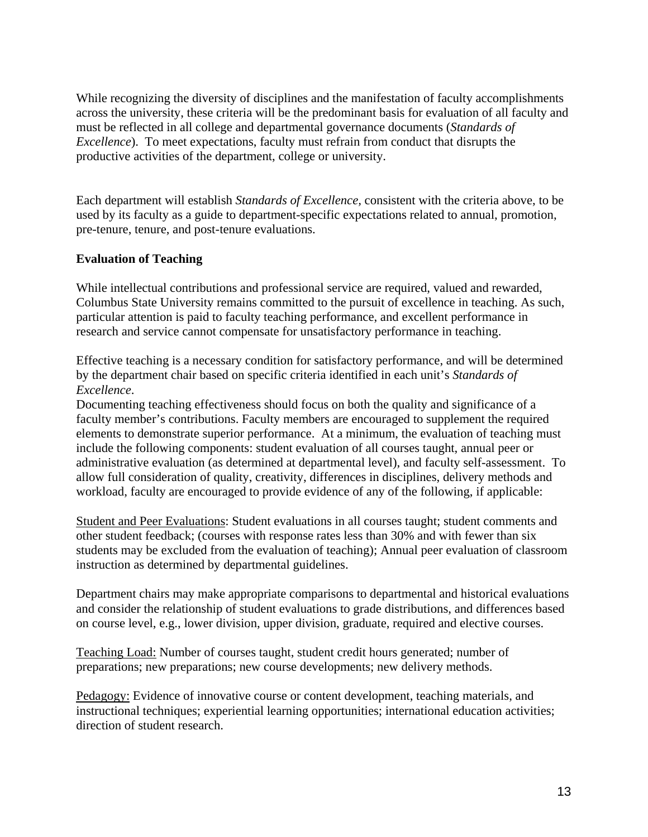While recognizing the diversity of disciplines and the manifestation of faculty accomplishments across the university, these criteria will be the predominant basis for evaluation of all faculty and must be reflected in all college and departmental governance documents (*Standards of Excellence*). To meet expectations, faculty must refrain from conduct that disrupts the productive activities of the department, college or university.

Each department will establish *Standards of Excellence,* consistent with the criteria above, to be used by its faculty as a guide to department-specific expectations related to annual, promotion, pre-tenure, tenure, and post-tenure evaluations.

### **Evaluation of Teaching**

While intellectual contributions and professional service are required, valued and rewarded, Columbus State University remains committed to the pursuit of excellence in teaching. As such, particular attention is paid to faculty teaching performance, and excellent performance in research and service cannot compensate for unsatisfactory performance in teaching.

Effective teaching is a necessary condition for satisfactory performance, and will be determined by the department chair based on specific criteria identified in each unit's *Standards of Excellence*.

Documenting teaching effectiveness should focus on both the quality and significance of a faculty member's contributions. Faculty members are encouraged to supplement the required elements to demonstrate superior performance. At a minimum, the evaluation of teaching must include the following components: student evaluation of all courses taught, annual peer or administrative evaluation (as determined at departmental level), and faculty self-assessment. To allow full consideration of quality, creativity, differences in disciplines, delivery methods and workload, faculty are encouraged to provide evidence of any of the following, if applicable:

Student and Peer Evaluations: Student evaluations in all courses taught; student comments and other student feedback; (courses with response rates less than 30% and with fewer than six students may be excluded from the evaluation of teaching); Annual peer evaluation of classroom instruction as determined by departmental guidelines.

Department chairs may make appropriate comparisons to departmental and historical evaluations and consider the relationship of student evaluations to grade distributions, and differences based on course level, e.g., lower division, upper division, graduate, required and elective courses.

Teaching Load: Number of courses taught, student credit hours generated; number of preparations; new preparations; new course developments; new delivery methods.

Pedagogy: Evidence of innovative course or content development, teaching materials, and instructional techniques; experiential learning opportunities; international education activities; direction of student research.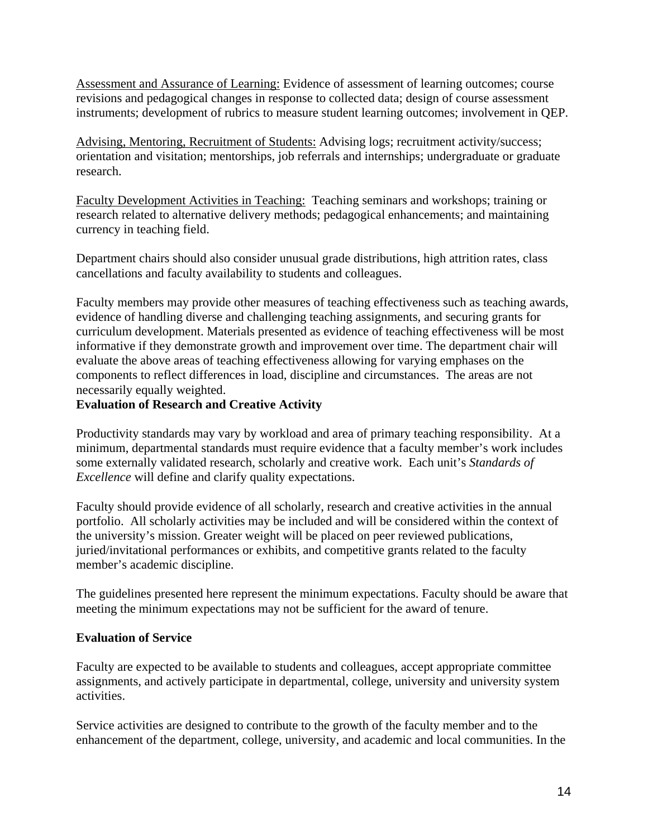Assessment and Assurance of Learning: Evidence of assessment of learning outcomes; course revisions and pedagogical changes in response to collected data; design of course assessment instruments; development of rubrics to measure student learning outcomes; involvement in QEP.

Advising, Mentoring, Recruitment of Students: Advising logs; recruitment activity/success; orientation and visitation; mentorships, job referrals and internships; undergraduate or graduate research.

Faculty Development Activities in Teaching: Teaching seminars and workshops; training or research related to alternative delivery methods; pedagogical enhancements; and maintaining currency in teaching field.

Department chairs should also consider unusual grade distributions, high attrition rates, class cancellations and faculty availability to students and colleagues.

Faculty members may provide other measures of teaching effectiveness such as teaching awards, evidence of handling diverse and challenging teaching assignments, and securing grants for curriculum development. Materials presented as evidence of teaching effectiveness will be most informative if they demonstrate growth and improvement over time. The department chair will evaluate the above areas of teaching effectiveness allowing for varying emphases on the components to reflect differences in load, discipline and circumstances. The areas are not necessarily equally weighted.

### **Evaluation of Research and Creative Activity**

Productivity standards may vary by workload and area of primary teaching responsibility. At a minimum, departmental standards must require evidence that a faculty member's work includes some externally validated research, scholarly and creative work. Each unit's *Standards of Excellence* will define and clarify quality expectations.

Faculty should provide evidence of all scholarly, research and creative activities in the annual portfolio. All scholarly activities may be included and will be considered within the context of the university's mission. Greater weight will be placed on peer reviewed publications, juried/invitational performances or exhibits, and competitive grants related to the faculty member's academic discipline.

The guidelines presented here represent the minimum expectations. Faculty should be aware that meeting the minimum expectations may not be sufficient for the award of tenure.

### **Evaluation of Service**

Faculty are expected to be available to students and colleagues, accept appropriate committee assignments, and actively participate in departmental, college, university and university system activities.

Service activities are designed to contribute to the growth of the faculty member and to the enhancement of the department, college, university, and academic and local communities. In the